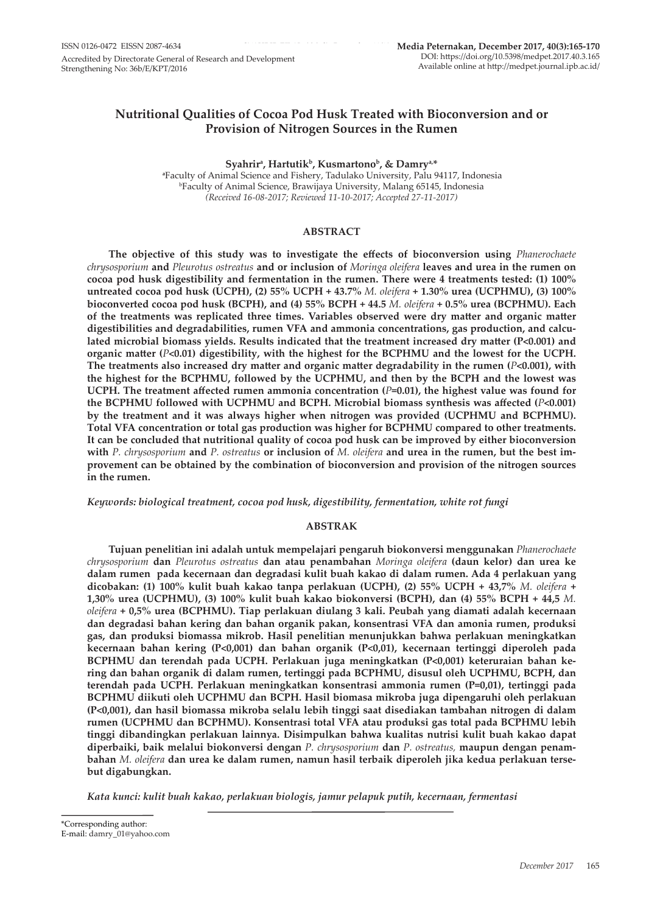# **Nutritional Qualities of Cocoa Pod Husk Treated with Bioconversion and or Provision of Nitrogen Sources in the Rumen**

**Syahrira , Hartutikb, Kusmartonob, & Damrya,\***

**a** Faculty of Animal Science and Fishery, Tadulako University, Palu 94117, Indonesia b Faculty of Animal Science, Brawijaya University, Malang 65145, Indonesia *(Received 16-08-2017; Reviewed 11-10-2017; Accepted 27-11-2017)*

# **ABSTRACT**

**The objective of this study was to investigate the effects of bioconversion using** *Phanerochaete chrysosporium* **and** *Pleurotus ostreatus* **and or inclusion of** *Moringa oleifera* **leaves and urea in the rumen on cocoa pod husk digestibility and fermentation in the rumen. There were 4 treatments tested: (1) 100% untreated cocoa pod husk (UCPH), (2) 55% UCPH + 43.7%** *M. oleifera* **+ 1.30% urea (UCPHMU), (3) 100% bioconverted cocoa pod husk (BCPH), and (4) 55% BCPH + 44.5** *M. oleifera* **+ 0.5% urea (BCPHMU). Each of the treatments was replicated three times. Variables observed were dry matter and organic matter digestibilities and degradabilities, rumen VFA and ammonia concentrations, gas production, and calculated microbial biomass yields. Results indicated that the treatment increased dry matter (P<0.001) and organic matter (***P***<0.01) digestibility, with the highest for the BCPHMU and the lowest for the UCPH. The treatments also increased dry matter and organic matter degradability in the rumen (***P***<0.001), with the highest for the BCPHMU, followed by the UCPHMU, and then by the BCPH and the lowest was UCPH. The treatment affected rumen ammonia concentration (***P***=0.01), the highest value was found for the BCPHMU followed with UCPHMU and BCPH. Microbial biomass synthesis was affected (***P***<0.001) by the treatment and it was always higher when nitrogen was provided (UCPHMU and BCPHMU). Total VFA concentration or total gas production was higher for BCPHMU compared to other treatments. It can be concluded that nutritional quality of cocoa pod husk can be improved by either bioconversion with** *P. chrysosporium* **and** *P. ostreatus* **or inclusion of** *M. oleifera* **and urea in the rumen, but the best improvement can be obtained by the combination of bioconversion and provision of the nitrogen sources in the rumen.**

*Keywords: biological treatment, cocoa pod husk, digestibility, fermentation, white rot fungi*

### **ABSTRAK**

**Tujuan penelitian ini adalah untuk mempelajari pengaruh biokonversi menggunakan** *Phanerochaete chrysosporium* **dan** *Pleurotus ostreatus* **dan atau penambahan** *Moringa oleifera* **(daun kelor) dan urea ke dalam rumen pada kecernaan dan degradasi kulit buah kakao di dalam rumen. Ada 4 perlakuan yang dicobakan: (1) 100% kulit buah kakao tanpa perlakuan (UCPH), (2) 55% UCPH + 43,7%** *M. oleifera* **+ 1,30% urea (UCPHMU), (3) 100% kulit buah kakao biokonversi (BCPH), dan (4) 55% BCPH + 44,5** *M. oleifera* **+ 0,5% urea (BCPHMU). Tiap perlakuan diulang 3 kali. Peubah yang diamati adalah kecernaan dan degradasi bahan kering dan bahan organik pakan, konsentrasi VFA dan amonia rumen, produksi gas, dan produksi biomassa mikrob. Hasil penelitian menunjukkan bahwa perlakuan meningkatkan kecernaan bahan kering (P<0,001) dan bahan organik (P<0,01), kecernaan tertinggi diperoleh pada BCPHMU dan terendah pada UCPH. Perlakuan juga meningkatkan (P<0,001) keteruraian bahan kering dan bahan organik di dalam rumen, tertinggi pada BCPHMU, disusul oleh UCPHMU, BCPH, dan terendah pada UCPH. Perlakuan meningkatkan konsentrasi ammonia rumen (P=0,01), tertinggi pada BCPHMU diikuti oleh UCPHMU dan BCPH. Hasil biomasa mikroba juga dipengaruhi oleh perlakuan (P<0,001), dan hasil biomassa mikroba selalu lebih tinggi saat disediakan tambahan nitrogen di dalam rumen (UCPHMU dan BCPHMU). Konsentrasi total VFA atau produksi gas total pada BCPHMU lebih tinggi dibandingkan perlakuan lainnya. Disimpulkan bahwa kualitas nutrisi kulit buah kakao dapat diperbaiki, baik melalui biokonversi dengan** *P. chrysosporium* **dan** *P. ostreatus,* **maupun dengan penambahan** *M. oleifera* **dan urea ke dalam rumen, namun hasil terbaik diperoleh jika kedua perlakuan tersebut digabungkan.**

*Kata kunci: kulit buah kakao, perlakuan biologis, jamur pelapuk putih, kecernaan, fermentasi*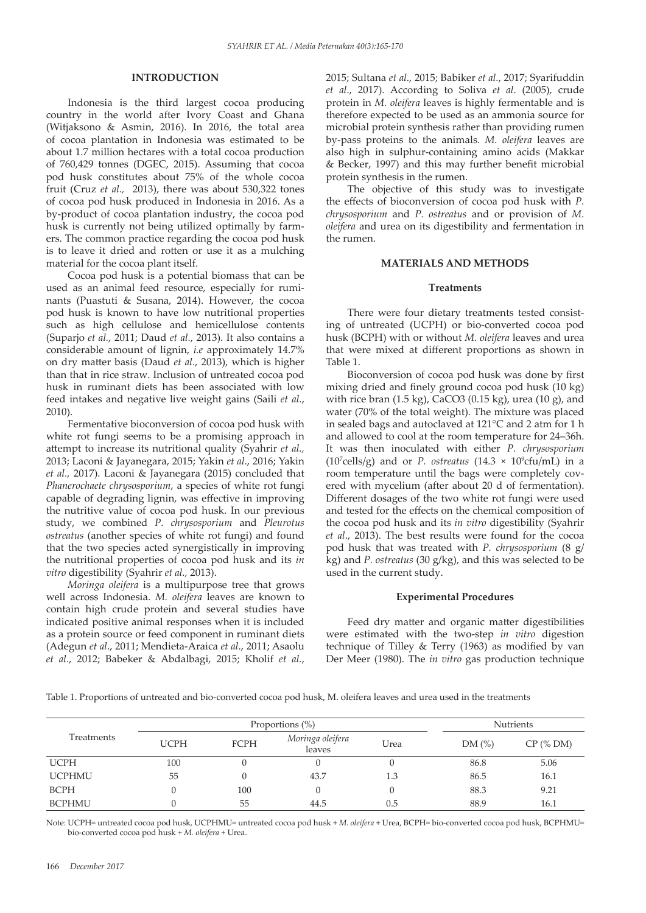## **INTRODUCTION**

Indonesia is the third largest cocoa producing country in the world after Ivory Coast and Ghana (Witjaksono & Asmin, 2016). In 2016, the total area of cocoa plantation in Indonesia was estimated to be about 1.7 million hectares with a total cocoa production of 760,429 tonnes (DGEC, 2015). Assuming that cocoa pod husk constitutes about 75% of the whole cocoa fruit (Cruz *et al.,* 2013), there was about 530,322 tones of cocoa pod husk produced in Indonesia in 2016. As a by-product of cocoa plantation industry, the cocoa pod husk is currently not being utilized optimally by farmers. The common practice regarding the cocoa pod husk is to leave it dried and rotten or use it as a mulching material for the cocoa plant itself.

Cocoa pod husk is a potential biomass that can be used as an animal feed resource, especially for ruminants (Puastuti & Susana, 2014). However, the cocoa pod husk is known to have low nutritional properties such as high cellulose and hemicellulose contents (Suparjo *et al.*, 2011; Daud *et al.*, 2013). It also contains a considerable amount of lignin, *i.e* approximately 14.7% on dry matter basis (Daud *et al*., 2013), which is higher than that in rice straw. Inclusion of untreated cocoa pod husk in ruminant diets has been associated with low feed intakes and negative live weight gains (Saili *et al.*, 2010).

Fermentative bioconversion of cocoa pod husk with white rot fungi seems to be a promising approach in attempt to increase its nutritional quality (Syahrir *et al.,* 2013; Laconi & Jayanegara, 2015; Yakin *et al*., 2016; Yakin *et al.,* 2017). Laconi & Jayanegara (2015) concluded that *Phanerochaete chrysosporium*, a species of white rot fungi capable of degrading lignin, was effective in improving the nutritive value of cocoa pod husk. In our previous study, we combined *P. chrysosporium* and *Pleurotus ostreatus* (another species of white rot fungi) and found that the two species acted synergistically in improving the nutritional properties of cocoa pod husk and its *in vitro* digestibility (Syahrir *et al.,* 2013).

*Moringa oleifera* is a multipurpose tree that grows well across Indonesia. *M. oleifera* leaves are known to contain high crude protein and several studies have indicated positive animal responses when it is included as a protein source or feed component in ruminant diets (Adegun *et al*., 2011; Mendieta-Araica *et al*., 2011; Asaolu *et al*., 2012; Babeker & Abdalbagi, 2015; Kholif *et al.*, 2015; Sultana *et al*., 2015; Babiker *et al.*, 2017; Syarifuddin *et al*., 2017). According to Soliva *et al*. (2005), crude protein in *M. oleifera* leaves is highly fermentable and is therefore expected to be used as an ammonia source for microbial protein synthesis rather than providing rumen by-pass proteins to the animals. *M. oleifera* leaves are also high in sulphur-containing amino acids (Makkar & Becker, 1997) and this may further benefit microbial protein synthesis in the rumen.

The objective of this study was to investigate the effects of bioconversion of cocoa pod husk with *P. chrysosporium* and *P. ostreatus* and or provision of *M. oleifera* and urea on its digestibility and fermentation in the rumen.

### **MATERIALS AND METHODS**

#### **Treatments**

There were four dietary treatments tested consisting of untreated (UCPH) or bio-converted cocoa pod husk (BCPH) with or without *M. oleifera* leaves and urea that were mixed at different proportions as shown in Table 1.

Bioconversion of cocoa pod husk was done by first mixing dried and finely ground cocoa pod husk (10 kg) with rice bran (1.5 kg), CaCO3 (0.15 kg), urea (10 g), and water (70% of the total weight). The mixture was placed in sealed bags and autoclaved at 121°C and 2 atm for 1 h and allowed to cool at the room temperature for 24–36h. It was then inoculated with either *P. chrysosporium*  $(10<sup>7</sup> cells/g)$  and or *P. ostreatus*  $(14.3 \times 10<sup>9</sup>cfu/mL)$  in a room temperature until the bags were completely covered with mycelium (after about 20 d of fermentation). Different dosages of the two white rot fungi were used and tested for the effects on the chemical composition of the cocoa pod husk and its *in vitro* digestibility (Syahrir *et al*., 2013). The best results were found for the cocoa pod husk that was treated with *P. chrysosporium* (8 g/ kg) and *P. ostreatus* (30 g/kg), and this was selected to be used in the current study.

### **Experimental Procedures**

Feed dry matter and organic matter digestibilities were estimated with the two-step *in vitro* digestion technique of Tilley & Terry (1963) as modified by van Der Meer (1980). The *in vitro* gas production technique

Table 1. Proportions of untreated and bio-converted cocoa pod husk, M. oleifera leaves and urea used in the treatments

|               | Proportions $(\%)$ |      |                            |      |       | <b>Nutrients</b> |  |  |
|---------------|--------------------|------|----------------------------|------|-------|------------------|--|--|
| Treatments    | <b>UCPH</b>        | FCPH | Moringa oleifera<br>leaves | Urea | DM(%) | $CP$ (% DM)      |  |  |
| <b>UCPH</b>   | 100                |      |                            |      | 86.8  | 5.06             |  |  |
| <b>UCPHMU</b> | 55                 |      | 43.7                       | 1.3  | 86.5  | 16.1             |  |  |
| <b>BCPH</b>   |                    | 100  |                            |      | 88.3  | 9.21             |  |  |
| <b>BCPHMU</b> |                    | 55   | 44.5                       | 0.5  | 88.9  | 16.1             |  |  |

Note: UCPH= untreated cocoa pod husk, UCPHMU= untreated cocoa pod husk + *M. oleifera* + Urea, BCPH= bio-converted cocoa pod husk, BCPHMU= bio-converted cocoa pod husk + *M. oleifera* + Urea.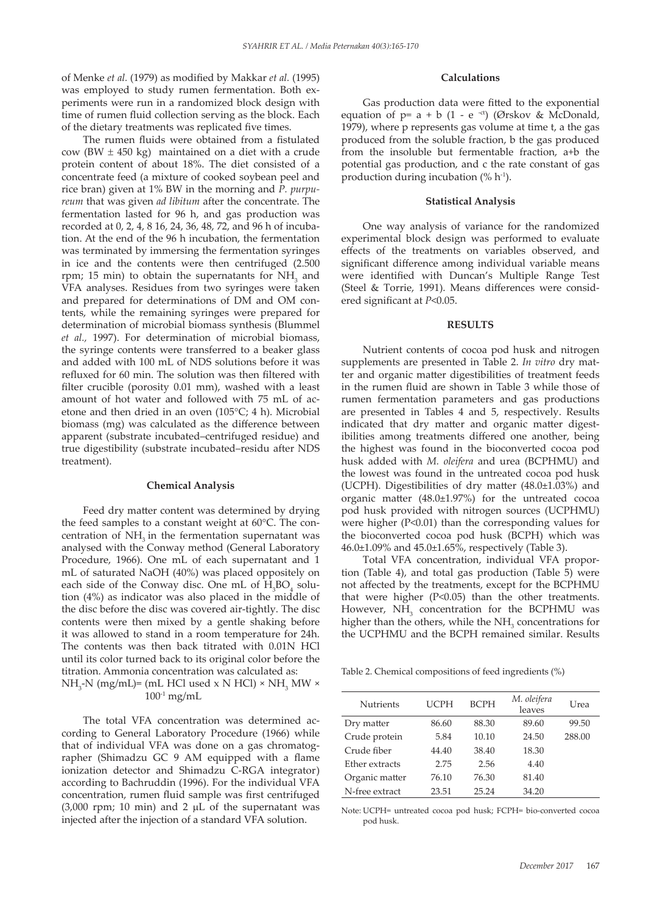of Menke *et al.* (1979) as modified by Makkar *et al.* (1995) was employed to study rumen fermentation. Both experiments were run in a randomized block design with time of rumen fluid collection serving as the block. Each of the dietary treatments was replicated five times.

The rumen fluids were obtained from a fistulated cow (BW  $\pm$  450 kg) maintained on a diet with a crude protein content of about 18%. The diet consisted of a concentrate feed (a mixture of cooked soybean peel and rice bran) given at 1% BW in the morning and *P. purpureum* that was given *ad libitum* after the concentrate. The fermentation lasted for 96 h, and gas production was recorded at 0, 2, 4, 8 16, 24, 36, 48, 72, and 96 h of incubation. At the end of the 96 h incubation, the fermentation was terminated by immersing the fermentation syringes in ice and the contents were then centrifuged (2.500 rpm; 15 min) to obtain the supernatants for  $NH<sub>3</sub>$  and VFA analyses. Residues from two syringes were taken and prepared for determinations of DM and OM contents, while the remaining syringes were prepared for determination of microbial biomass synthesis (Blummel *et al.,* 1997). For determination of microbial biomass, the syringe contents were transferred to a beaker glass and added with 100 mL of NDS solutions before it was refluxed for 60 min. The solution was then filtered with filter crucible (porosity 0.01 mm), washed with a least amount of hot water and followed with 75 mL of acetone and then dried in an oven (105°C; 4 h). Microbial biomass (mg) was calculated as the difference between apparent (substrate incubated–centrifuged residue) and true digestibility (substrate incubated–residu after NDS treatment).

#### **Chemical Analysis**

Feed dry matter content was determined by drying the feed samples to a constant weight at 60°C. The concentration of NH<sub>3</sub> in the fermentation supernatant was analysed with the Conway method (General Laboratory Procedure, 1966). One mL of each supernatant and 1 mL of saturated NaOH (40%) was placed oppositely on each side of the Conway disc. One mL of  $H_3BO_4$  solution (4%) as indicator was also placed in the middle of the disc before the disc was covered air-tightly. The disc contents were then mixed by a gentle shaking before it was allowed to stand in a room temperature for 24h. The contents was then back titrated with 0.01N HCl until its color turned back to its original color before the titration. Ammonia concentration was calculated as:  $NH_{3}$ -N (mg/mL)= (mL HCl used x N HCl) × NH<sub>3</sub> MW ×

 $100^{-1}$  mg/mL

The total VFA concentration was determined according to General Laboratory Procedure (1966) while that of individual VFA was done on a gas chromatographer (Shimadzu GC 9 AM equipped with a flame ionization detector and Shimadzu C-RGA integrator) according to Bachruddin (1996). For the individual VFA concentration, rumen fluid sample was first centrifuged (3,000 rpm; 10 min) and 2  $\mu$ L of the supernatant was injected after the injection of a standard VFA solution.

### **Calculations**

Gas production data were fitted to the exponential equation of  $p= a + b$  (1 - e<sup>-ct</sup>) (Ørskov & McDonald, 1979), where p represents gas volume at time t, a the gas produced from the soluble fraction, b the gas produced from the insoluble but fermentable fraction, a+b the potential gas production, and c the rate constant of gas production during incubation  $(\% h^{-1})$ .

### **Statistical Analysis**

One way analysis of variance for the randomized experimental block design was performed to evaluate effects of the treatments on variables observed, and significant difference among individual variable means were identified with Duncan's Multiple Range Test (Steel & Torrie, 1991). Means differences were considered significant at *P*<0.05.

### **RESULTS**

Nutrient contents of cocoa pod husk and nitrogen supplements are presented in Table 2. *In vitro* dry matter and organic matter digestibilities of treatment feeds in the rumen fluid are shown in Table 3 while those of rumen fermentation parameters and gas productions are presented in Tables 4 and 5, respectively. Results indicated that dry matter and organic matter digestibilities among treatments differed one another, being the highest was found in the bioconverted cocoa pod husk added with *M. oleifera* and urea (BCPHMU) and the lowest was found in the untreated cocoa pod husk (UCPH). Digestibilities of dry matter (48.0±1.03%) and organic matter (48.0±1.97%) for the untreated cocoa pod husk provided with nitrogen sources (UCPHMU) were higher (P<0.01) than the corresponding values for the bioconverted cocoa pod husk (BCPH) which was 46.0±1.09% and 45.0±1.65%, respectively (Table 3).

Total VFA concentration, individual VFA proportion (Table 4), and total gas production (Table 5) were not affected by the treatments, except for the BCPHMU that were higher (P<0.05) than the other treatments. However,  $NH<sub>3</sub>$  concentration for the BCPHMU was higher than the others, while the  $NH<sub>3</sub>$  concentrations for the UCPHMU and the BCPH remained similar. Results

Table 2. Chemical compositions of feed ingredients (%)

| <b>Nutrients</b> | UCPH  | <b>BCPH</b> | M. oleifera<br>leaves | Urea   |
|------------------|-------|-------------|-----------------------|--------|
| Dry matter       | 86.60 | 88.30       | 89.60                 | 99.50  |
| Crude protein    | 5.84  | 10.10       | 24.50                 | 288.00 |
| Crude fiber      | 44.40 | 38.40       | 18.30                 |        |
| Ether extracts   | 2.75  | 2.56        | 4.40                  |        |
| Organic matter   | 76.10 | 76.30       | 81.40                 |        |
| N-free extract   | 23.51 | 25.24       | 34.20                 |        |

Note: UCPH= untreated cocoa pod husk; FCPH= bio-converted cocoa pod husk.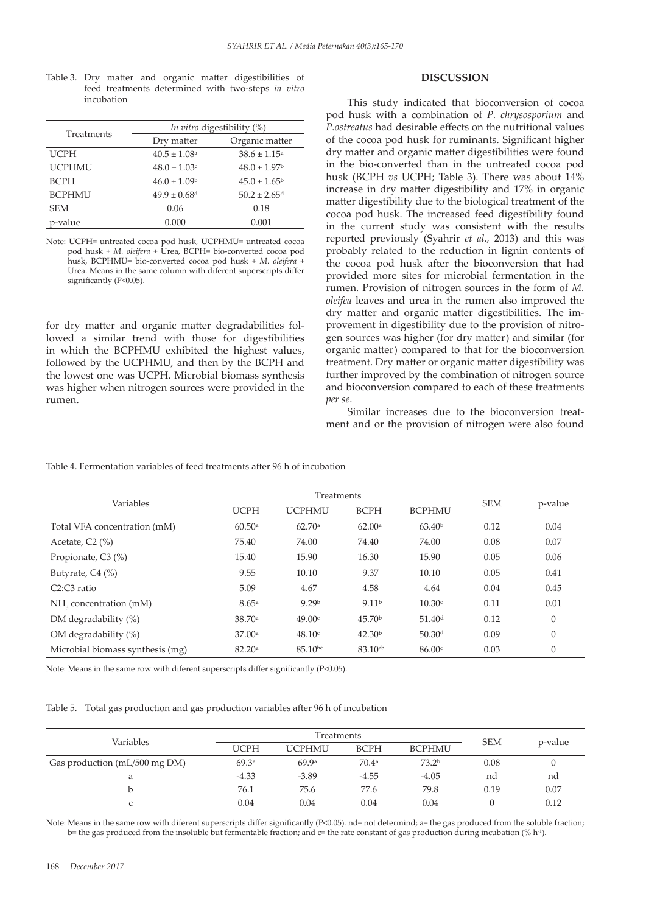Table 3. Dry matter and organic matter digestibilities of feed treatments determined with two-steps *in vitro*  incubation

| Treatments    | <i>In vitro</i> digestibility (%) |                              |  |  |
|---------------|-----------------------------------|------------------------------|--|--|
|               | Dry matter                        | Organic matter               |  |  |
| <b>UCPH</b>   | $40.5 \pm 1.08$ <sup>a</sup>      | $38.6 \pm 1.15^{\circ}$      |  |  |
| <b>UCPHMU</b> | $48.0 \pm 1.03$ c                 | $48.0 \pm 1.97$ <sup>b</sup> |  |  |
| <b>BCPH</b>   | $46.0 \pm 1.09$ <sup>b</sup>      | $45.0 \pm 1.65^{\circ}$      |  |  |
| <b>BCPHMU</b> | $49.9 \pm 0.68$ <sup>d</sup>      | $50.2 \pm 2.65$ <sup>d</sup> |  |  |
| <b>SEM</b>    | 0.06                              | 0.18                         |  |  |
| p-value       | 0.000                             | 0.001                        |  |  |

Note: UCPH= untreated cocoa pod husk, UCPHMU= untreated cocoa pod husk + *M. oleifera* + Urea, BCPH= bio-converted cocoa pod husk, BCPHMU= bio-converted cocoa pod husk + *M. oleifera* + Urea. Means in the same column with diferent superscripts differ significantly (P<0.05).

for dry matter and organic matter degradabilities followed a similar trend with those for digestibilities in which the BCPHMU exhibited the highest values, followed by the UCPHMU, and then by the BCPH and the lowest one was UCPH. Microbial biomass synthesis was higher when nitrogen sources were provided in the rumen.

# **DISCUSSION**

This study indicated that bioconversion of cocoa pod husk with a combination of *P. chrysosporium* and *P.ostreatus* had desirable effects on the nutritional values of the cocoa pod husk for ruminants. Significant higher dry matter and organic matter digestibilities were found in the bio-converted than in the untreated cocoa pod husk (BCPH *vs* UCPH; Table 3). There was about 14% increase in dry matter digestibility and 17% in organic matter digestibility due to the biological treatment of the cocoa pod husk. The increased feed digestibility found in the current study was consistent with the results reported previously (Syahrir *et al.,* 2013) and this was probably related to the reduction in lignin contents of the cocoa pod husk after the bioconversion that had provided more sites for microbial fermentation in the rumen. Provision of nitrogen sources in the form of *M. oleifea* leaves and urea in the rumen also improved the dry matter and organic matter digestibilities. The improvement in digestibility due to the provision of nitrogen sources was higher (for dry matter) and similar (for organic matter) compared to that for the bioconversion treatment. Dry matter or organic matter digestibility was further improved by the combination of nitrogen source and bioconversion compared to each of these treatments *per se*.

Similar increases due to the bioconversion treatment and or the provision of nitrogen were also found

|                                    | Treatments  |                   |                     |                    |            |          |
|------------------------------------|-------------|-------------------|---------------------|--------------------|------------|----------|
| Variables                          | <b>UCPH</b> | <b>UCPHMU</b>     | <b>BCPH</b>         | <b>BCPHMU</b>      | <b>SEM</b> | p-value  |
| Total VFA concentration (mM)       | 60.50a      | 62.70a            | 62.00a              | 63.40 <sup>b</sup> | 0.12       | 0.04     |
| Acetate, C2 (%)                    | 75.40       | 74.00             | 74.40               | 74.00              | 0.08       | 0.07     |
| Propionate, C3 (%)                 | 15.40       | 15.90             | 16.30               | 15.90              | 0.05       | 0.06     |
| Butyrate, C4 (%)                   | 9.55        | 10.10             | 9.37                | 10.10              | 0.05       | 0.41     |
| C2:C3 ratio                        | 5.09        | 4.67              | 4.58                | 4.64               | 0.04       | 0.45     |
| NH <sub>3</sub> concentration (mM) | 8.65a       | 9.29 <sup>b</sup> | 9.11 <sup>b</sup>   | 10.30c             | 0.11       | 0.01     |
| DM degradability (%)               | 38.70a      | 49.00c            | 45.70 <sup>b</sup>  | 51.40 <sup>d</sup> | 0.12       | $\theta$ |
| OM degradability (%)               | 37.00a      | 48.10c            | 42.30 <sup>b</sup>  | 50.30 <sup>d</sup> | 0.09       | $\theta$ |
| Microbial biomass synthesis (mg)   | 82.20a      | $85.10^{bc}$      | 83.10 <sup>ab</sup> | 86.00c             | 0.03       | $\theta$ |
|                                    |             |                   |                     |                    |            |          |

Table 4. Fermentation variables of feed treatments after 96 h of incubation

Note: Means in the same row with diferent superscripts differ significantly (P<0.05).

Table 5. Total gas production and gas production variables after 96 h of incubation

|                               | Treatments  |         |                   |                   |            |         |
|-------------------------------|-------------|---------|-------------------|-------------------|------------|---------|
| Variables                     | <b>UCPH</b> | UCPHMU  | <b>BCPH</b>       | <b>BCPHMU</b>     | <b>SEM</b> | p-value |
| Gas production (mL/500 mg DM) | 69.3a       | 69.9a   | 70.4 <sup>a</sup> | 73.2 <sup>b</sup> | 0.08       |         |
| a                             | $-4.33$     | $-3.89$ | $-4.55$           | $-4.05$           | nd         | nd      |
| b                             | 76.1        | 75.6    | 77.6              | 79.8              | 0.19       | 0.07    |
|                               | 0.04        | 0.04    | 0.04              | 0.04              |            | 0.12    |

Note: Means in the same row with diferent superscripts differ significantly (P<0.05). nd= not determind; a= the gas produced from the soluble fraction; b= the gas produced from the insoluble but fermentable fraction; and c= the rate constant of gas production during incubation (% h<sup>-1</sup>).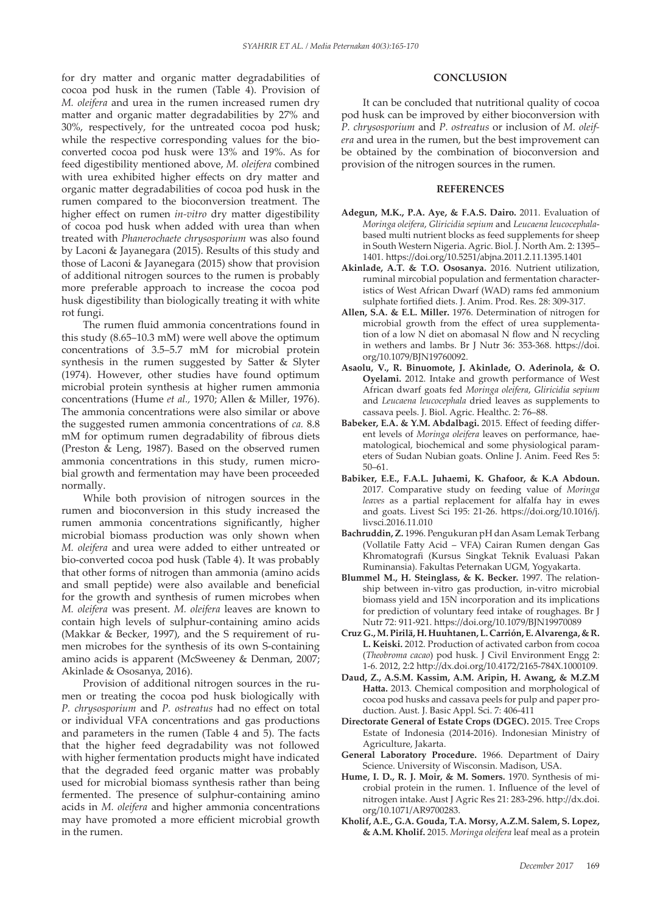for dry matter and organic matter degradabilities of cocoa pod husk in the rumen (Table 4). Provision of *M. oleifera* and urea in the rumen increased rumen dry matter and organic matter degradabilities by 27% and 30%, respectively, for the untreated cocoa pod husk; while the respective corresponding values for the bioconverted cocoa pod husk were 13% and 19%. As for feed digestibility mentioned above, *M. oleifera* combined with urea exhibited higher effects on dry matter and organic matter degradabilities of cocoa pod husk in the rumen compared to the bioconversion treatment. The higher effect on rumen *in-vitro* dry matter digestibility of cocoa pod husk when added with urea than when treated with *Phanerochaete chrysosporium* was also found by Laconi & Jayanegara (2015). Results of this study and those of Laconi & Jayanegara (2015) show that provision of additional nitrogen sources to the rumen is probably more preferable approach to increase the cocoa pod husk digestibility than biologically treating it with white rot fungi.

The rumen fluid ammonia concentrations found in this study (8.65–10.3 mM) were well above the optimum concentrations of 3.5–5.7 mM for microbial protein synthesis in the rumen suggested by Satter & Slyter (1974). However, other studies have found optimum microbial protein synthesis at higher rumen ammonia concentrations (Hume *et al.,* 1970; Allen & Miller, 1976). The ammonia concentrations were also similar or above the suggested rumen ammonia concentrations of *ca.* 8.8 mM for optimum rumen degradability of fibrous diets (Preston & Leng, 1987). Based on the observed rumen ammonia concentrations in this study, rumen microbial growth and fermentation may have been proceeded normally.

While both provision of nitrogen sources in the rumen and bioconversion in this study increased the rumen ammonia concentrations significantly, higher microbial biomass production was only shown when *M. oleifera* and urea were added to either untreated or bio-converted cocoa pod husk (Table 4). It was probably that other forms of nitrogen than ammonia (amino acids and small peptide) were also available and beneficial for the growth and synthesis of rumen microbes when *M. oleifera* was present. *M. oleifera* leaves are known to contain high levels of sulphur-containing amino acids (Makkar & Becker, 1997), and the S requirement of rumen microbes for the synthesis of its own S-containing amino acids is apparent (McSweeney & Denman, 2007; Akinlade & Ososanya, 2016).

Provision of additional nitrogen sources in the rumen or treating the cocoa pod husk biologically with *P. chrysosporium* and *P. ostreatus* had no effect on total or individual VFA concentrations and gas productions and parameters in the rumen (Table 4 and 5). The facts that the higher feed degradability was not followed with higher fermentation products might have indicated that the degraded feed organic matter was probably used for microbial biomass synthesis rather than being fermented. The presence of sulphur-containing amino acids in *M. oleifera* and higher ammonia concentrations may have promoted a more efficient microbial growth in the rumen.

# **CONCLUSION**

It can be concluded that nutritional quality of cocoa pod husk can be improved by either bioconversion with *P. chrysosporium* and *P. ostreatus* or inclusion of *M. oleifera* and urea in the rumen, but the best improvement can be obtained by the combination of bioconversion and provision of the nitrogen sources in the rumen.

### **REFERENCES**

- **Adegun, M.K., P.A. Aye, & F.A.S. Dairo.** 2011. Evaluation of *Moringa oleifera*, *Gliricidia sepium* and *Leucaena leucocephala*based multi nutrient blocks as feed supplements for sheep in South Western Nigeria. Agric. Biol. J. North Am. 2: 1395– 1401. https://doi.org/10.5251/abjna.2011.2.11.1395.1401
- **Akinlade, A.T. & T.O. Ososanya.** 2016. Nutrient utilization, ruminal mircobial population and fermentation characteristics of West African Dwarf (WAD) rams fed ammonium sulphate fortified diets. J. Anim. Prod. Res. 28: 309-317.
- **Allen, S.A. & E.L. Miller.** 1976. Determination of nitrogen for microbial growth from the effect of urea supplementation of a low  $N$  diet on abomasal  $N$  flow and  $N$  recycling in wethers and lambs. Br J Nutr 36: 353-368. https://doi. org/10.1079/BJN19760092.
- **Asaolu, V., R. Binuomote, J. Akinlade, O. Aderinola, & O. Oyelami.** 2012. Intake and growth performance of West African dwarf goats fed *Moringa oleifera*, *Gliricidia sepium* and *Leucaena leucocephala* dried leaves as supplements to cassava peels. J. Biol. Agric. Healthc. 2: 76–88.
- **Babeker, E.A. & Y.M. Abdalbagi.** 2015. Effect of feeding different levels of *Moringa oleifera* leaves on performance, haematological, biochemical and some physiological parameters of Sudan Nubian goats. Online J. Anim. Feed Res 5: 50–61.
- **Babiker, E.E., F.A.L. Juhaemi, K. Ghafoor, & K.A Abdoun.** 2017. Comparative study on feeding value of *Moringa leaves* as a partial replacement for alfalfa hay in ewes and goats. Livest Sci 195: 21-26. https://doi.org/10.1016/j. livsci.2016.11.010
- **Bachruddin, Z.** 1996. Pengukuran pH dan Asam Lemak Terbang (Vollatile Fatty Acid – VFA) Cairan Rumen dengan Gas Khromatografi (Kursus Singkat Teknik Evaluasi Pakan Ruminansia). Fakultas Peternakan UGM, Yogyakarta.
- **Blummel M., H. Steinglass, & K. Becker.** 1997. The relationship between in-vitro gas production, in-vitro microbial biomass yield and 15N incorporation and its implications for prediction of voluntary feed intake of roughages. Br J Nutr 72: 911-921. https://doi.org/10.1079/BJN19970089
- **Cruz G., M. Pirilä, H. Huuhtanen, L. Carrión, E. Alvarenga, & R. L. Keiski.** 2012. Production of activated carbon from cocoa (*Theobroma cacao*) pod husk. J Civil Environment Engg 2: 1-6. 2012, 2:2 http://dx.doi.org/10.4172/2165-784X.1000109.
- **Daud, Z., A.S.M. Kassim, A.M. Aripin, H. Awang, & M.Z.M Hatta.** 2013. Chemical composition and morphological of cocoa pod husks and cassava peels for pulp and paper production. Aust. J. Basic Appl. Sci. 7: 406-411
- **Directorate General of Estate Crops (DGEC).** 2015. Tree Crops Estate of Indonesia (2014-2016). Indonesian Ministry of Agriculture, Jakarta.
- **General Laboratory Procedure.** 1966. Department of Dairy Science. University of Wisconsin. Madison, USA.
- **Hume, I. D., R. J. Moir, & M. Somers.** 1970. Synthesis of microbial protein in the rumen. 1. Influence of the level of nitrogen intake. Aust J Agric Res 21: 283-296. http://dx.doi. org/10.1071/AR9700283.
- **Kholif, A.E., G.A. Gouda, T.A. Morsy, A.Z.M. Salem, S. Lopez, & A.M. Kholif.** 2015. *Moringa oleifera* leaf meal as a protein